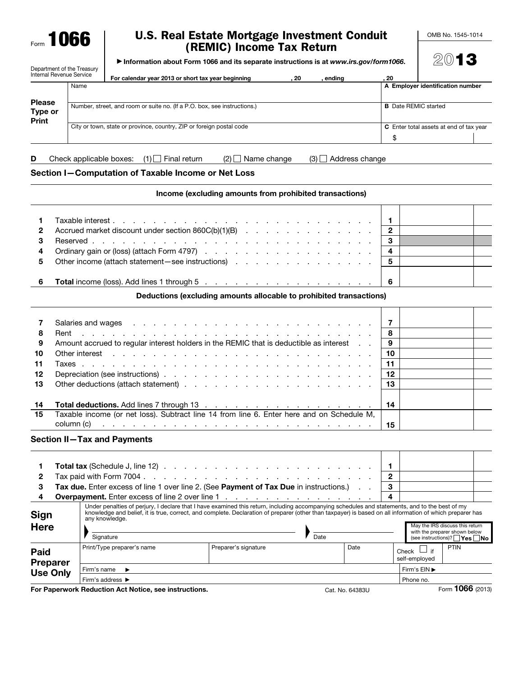Form **1066** 

## U.S. Real Estate Mortgage Investment Conduit (REMIC) Income Tax Return

OMB No. 1545-1014

2013

▶ Information about Form 1066 and its separate instructions is at *www.irs.gov/form1066*.

| Department of the Treasury<br>Internal Revenue Service |      | For calendar year 2013 or short tax year beginning                       | . 20 | ending                                         | -20 |                                  |  |  |
|--------------------------------------------------------|------|--------------------------------------------------------------------------|------|------------------------------------------------|-----|----------------------------------|--|--|
|                                                        | Name |                                                                          |      |                                                |     | A Employer identification number |  |  |
| <b>Please</b><br>Type or<br>Print                      |      | Number, street, and room or suite no. (If a P.O. box, see instructions.) |      | <b>B</b> Date REMIC started                    |     |                                  |  |  |
|                                                        |      | City or town, state or province, country, ZIP or foreign postal code     | \$   | <b>C</b> Enter total assets at end of tax year |     |                                  |  |  |
|                                                        |      |                                                                          |      |                                                |     |                                  |  |  |

**D** Check applicable boxes:  $(1)$  Final return  $(2)$  Name change  $(3)$  Address change

Section I—Computation of Taxable Income or Net Loss

Income (excluding amounts from prohibited transactions)

| 3              |                                                        |  |  |  |  |  |  |  |  |
|----------------|--------------------------------------------------------|--|--|--|--|--|--|--|--|
| $\overline{4}$ |                                                        |  |  |  |  |  |  |  |  |
|                | 5 Other income (attach statement – see instructions) 5 |  |  |  |  |  |  |  |  |
| 6              |                                                        |  |  |  |  |  |  |  |  |

Deductions (excluding amounts allocable to prohibited transactions)

| 8<br>9<br>10<br>11<br>12<br>13 | Salaries and wages entering the state of the state of the state of the state of the state of the state of the state of the state of the state of the state of the state of the state of the state of the state of the state of<br>and a construction of the construction of the construction of the construction of the construction of the construction of the construction of the construction of the construction of the construction of the construction of<br>Rent<br>Amount accrued to regular interest holders in the REMIC that is deductible as interest<br>Other interest that the contract the contract of the contract of the contract of the contract of the contract of the contract of the contract of the contract of the contract of the contract of the contract of the contract | - 8<br>9<br>10<br>11<br>12<br>-13 |
|--------------------------------|----------------------------------------------------------------------------------------------------------------------------------------------------------------------------------------------------------------------------------------------------------------------------------------------------------------------------------------------------------------------------------------------------------------------------------------------------------------------------------------------------------------------------------------------------------------------------------------------------------------------------------------------------------------------------------------------------------------------------------------------------------------------------------------------------|-----------------------------------|
|                                |                                                                                                                                                                                                                                                                                                                                                                                                                                                                                                                                                                                                                                                                                                                                                                                                    |                                   |
| 14                             |                                                                                                                                                                                                                                                                                                                                                                                                                                                                                                                                                                                                                                                                                                                                                                                                    | 14                                |
| 15                             | Taxable income (or net loss). Subtract line 14 from line 6. Enter here and on Schedule M,<br>column (c)<br>a construction of the construction of the construction of the construction of the construction of the construction of the construction of the construction of the construction of the construction of the construction of the                                                                                                                                                                                                                                                                                                                                                                                                                                                           | 15                                |

## Section II—Tax and Payments

|                | <b>Total tax</b> (Schedule J, line 12) $\ldots$ $\ldots$ $\ldots$ $\ldots$ $\ldots$ $\ldots$ $\ldots$ $\ldots$ $\ldots$   1 |  |  |
|----------------|-----------------------------------------------------------------------------------------------------------------------------|--|--|
| $\overline{2}$ |                                                                                                                             |  |  |
|                | 3 Tax due. Enter excess of line 1 over line 2. (See Payment of Tax Due in instructions.)   3                                |  |  |
| 4              | <b>Overpayment.</b> Enter excess of line 2 over line 1   4                                                                  |  |  |

| <b>Sign</b>              | Under penalties of perjury, I declare that I have examined this return, including accompanying schedules and statements, and to the best of my<br>knowledge and belief, it is true, correct, and complete. Declaration of preparer (other than taxpayer) is based on all information of which preparer has<br>any knowledge. |                      |              |  |                                     |                                                                                                              |
|--------------------------|------------------------------------------------------------------------------------------------------------------------------------------------------------------------------------------------------------------------------------------------------------------------------------------------------------------------------|----------------------|--------------|--|-------------------------------------|--------------------------------------------------------------------------------------------------------------|
| <b>Here</b>              | Signature                                                                                                                                                                                                                                                                                                                    |                      | Date         |  |                                     | May the IRS discuss this return<br>with the preparer shown below<br>(see instructions)? $\Box$ Yes $\Box$ No |
| Paid<br><b>Preparer</b>  | Print/Type preparer's name                                                                                                                                                                                                                                                                                                   | Preparer's signature | Date         |  | $\Box$ if<br>Check<br>self-employed | <b>PTIN</b>                                                                                                  |
| <b>Use Only</b>          | Firm's name                                                                                                                                                                                                                                                                                                                  |                      | Firm's EIN ▶ |  |                                     |                                                                                                              |
|                          | Firm's address $\blacktriangleright$                                                                                                                                                                                                                                                                                         |                      |              |  | Phone no.                           |                                                                                                              |
| $\overline{\phantom{a}}$ | _                                                                                                                                                                                                                                                                                                                            |                      |              |  |                                     | A                                                                                                            |

**For Paperwork Reduction Act Notice, see instructions.** Cat. No. 64383U Form 1066 (2013)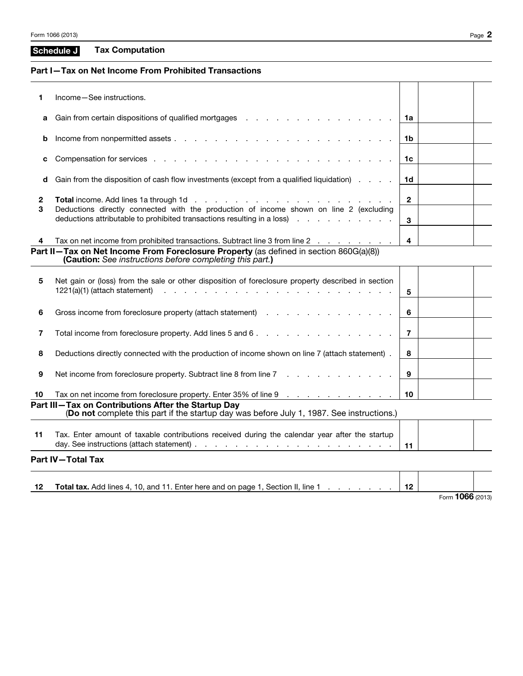| Schedule J | <b>Tax Computation</b> |
|------------|------------------------|
|------------|------------------------|

## Part I—Tax on Net Income From Prohibited Transactions

| 1                   | Income-See instructions.                                                                                                                                                                                                       |                |  |
|---------------------|--------------------------------------------------------------------------------------------------------------------------------------------------------------------------------------------------------------------------------|----------------|--|
| а                   | Gain from certain dispositions of qualified mortgages enters and and all the control of the control of the control of the control of the control of the control of the control of the control of the control of the control of | 1a             |  |
| b                   |                                                                                                                                                                                                                                | 1b             |  |
| c                   |                                                                                                                                                                                                                                | 1c             |  |
| d                   | Gain from the disposition of cash flow investments (except from a qualified liquidation)                                                                                                                                       | 1 <sub>d</sub> |  |
| $\overline{2}$<br>3 | Deductions directly connected with the production of income shown on line 2 (excluding                                                                                                                                         | $\mathbf{2}$   |  |
|                     | deductions attributable to prohibited transactions resulting in a loss)                                                                                                                                                        | 3              |  |
|                     | Tax on net income from prohibited transactions. Subtract line 3 from line 2                                                                                                                                                    | 4              |  |
|                     | Part II-Tax on Net Income From Foreclosure Property (as defined in section 860G(a)(8))<br>(Caution: See instructions before completing this part.)                                                                             |                |  |
| 5                   | Net gain or (loss) from the sale or other disposition of foreclosure property described in section<br>$1221(a)(1)$ (attach statement) $\cdots$ $\cdots$ $\cdots$ $\cdots$ $\cdots$ $\cdots$ $\cdots$ $\cdots$ $\cdots$         | 5              |  |
| 6                   | Gross income from foreclosure property (attach statement)                                                                                                                                                                      | 6              |  |
| 7                   |                                                                                                                                                                                                                                | $\overline{7}$ |  |
| 8                   | Deductions directly connected with the production of income shown on line 7 (attach statement).                                                                                                                                | 8              |  |
| 9                   | Net income from foreclosure property. Subtract line 8 from line 7                                                                                                                                                              | 9              |  |
| 10                  | Tax on net income from foreclosure property. Enter 35% of line 9                                                                                                                                                               | 10             |  |
|                     | Part III-Tax on Contributions After the Startup Day<br>(Do not complete this part if the startup day was before July 1, 1987. See instructions.)                                                                               |                |  |
| 11                  | Tax. Enter amount of taxable contributions received during the calendar year after the startup                                                                                                                                 | 11             |  |
|                     | <b>Part IV-Total Tax</b>                                                                                                                                                                                                       |                |  |
|                     |                                                                                                                                                                                                                                |                |  |

| 12 | <b>Total tax.</b> Add lines 4, 10, and 11. Enter here and on page 1, Section II, line 1 |                  |  |
|----|-----------------------------------------------------------------------------------------|------------------|--|
|    |                                                                                         | Form 1066 (2013) |  |